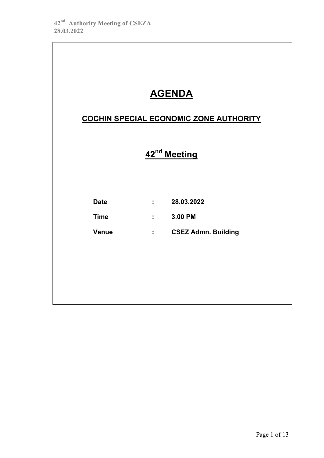|              | <b>AGENDA</b>                          |
|--------------|----------------------------------------|
|              | COCHIN SPECIAL ECONOMIC ZONE AUTHORITY |
|              | 42 <sup>nd</sup> Meeting               |
| <b>Date</b>  | : 28.03.2022                           |
| <b>Time</b>  | $: 3.00$ PM                            |
| <b>Venue</b> | : CSEZ Admn. Building                  |
|              |                                        |
|              |                                        |
|              |                                        |
|              |                                        |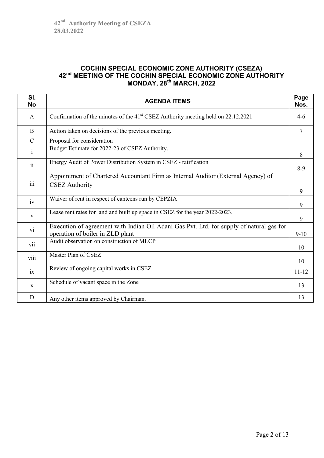# **COCHIN SPECIAL ECONOMIC ZONE AUTHORITY (CSEZA) 42nd MEETING OF THE COCHIN SPECIAL ECONOMIC ZONE AUTHORITY MONDAY, 28th MARCH, 2022**

| SI.<br><b>No</b> | <b>AGENDA ITEMS</b>                                                                                                          | Page<br>Nos. |
|------------------|------------------------------------------------------------------------------------------------------------------------------|--------------|
| A                | Confirmation of the minutes of the 41 <sup>st</sup> CSEZ Authority meeting held on 22.12.2021                                | $4-6$        |
| B                | Action taken on decisions of the previous meeting.                                                                           | 7            |
| $\mathcal{C}$    | Proposal for consideration                                                                                                   |              |
| $\mathbf{i}$     | Budget Estimate for 2022-23 of CSEZ Authority.                                                                               | 8            |
| $\ddot{\rm ii}$  | Energy Audit of Power Distribution System in CSEZ - ratification                                                             | $8-9$        |
| iii              | Appointment of Chartered Accountant Firm as Internal Auditor (External Agency) of<br><b>CSEZ</b> Authority                   | 9            |
| iv               | Waiver of rent in respect of canteens run by CEPZIA                                                                          | 9            |
| $\mathbf{V}$     | Lease rent rates for land and built up space in CSEZ for the year 2022-2023.                                                 | 9            |
| vi               | Execution of agreement with Indian Oil Adani Gas Pvt. Ltd. for supply of natural gas for<br>operation of boiler in ZLD plant | $9-10$       |
| vii              | Audit observation on construction of MLCP                                                                                    | 10           |
| viii             | Master Plan of CSEZ                                                                                                          | 10           |
| ix               | Review of ongoing capital works in CSEZ                                                                                      | $11 - 12$    |
| $\mathbf{x}$     | Schedule of vacant space in the Zone                                                                                         | 13           |
| D                | Any other items approved by Chairman.                                                                                        | 13           |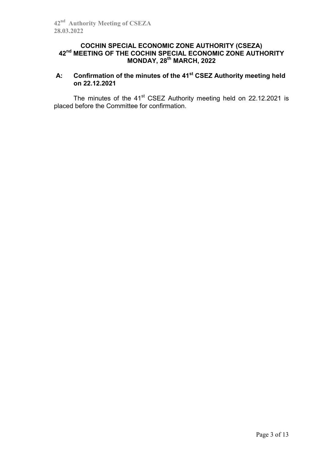# **COCHIN SPECIAL ECONOMIC ZONE AUTHORITY (CSEZA) 42nd MEETING OF THE COCHIN SPECIAL ECONOMIC ZONE AUTHORITY MONDAY, 28th MARCH, 2022**

# **A: Confirmation of the minutes of the 41st CSEZ Authority meeting held on 22.12.2021**

The minutes of the  $41<sup>st</sup>$  CSEZ Authority meeting held on 22.12.2021 is placed before the Committee for confirmation.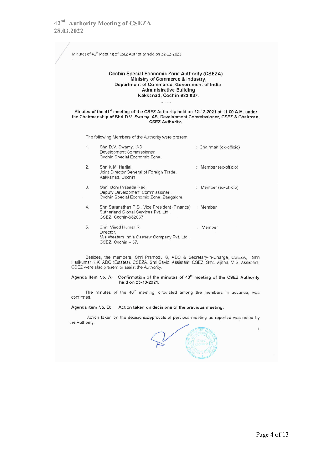Minutes of 41<sup>st</sup> Meeting of CSEZ Authority held on 22-12-2021 **Cochin Special Economic Zone Authority (CSEZA)** Ministry of Commerce & Industry, Department of Commerce, Government of India **Administrative Building** Kakkanad, Cochin-682 037. Minutes of the 41<sup>st</sup> meeting of the CSEZ Authority held on 22-12-2021 at 11.00 A.M. under the Chairmanship of Shri D.V. Swamy IAS, Development Commissioner, CSEZ & Chairman, CSEZ Authority. The following Members of the Authority were present. Shri D.V. Swamy, IAS  $1.$ : Chairman (ex-officio) Development Commissioner, Cochin Special Economic Zone. Shri K.M. Harilal,  $2.$ : Member (ex-officio) Joint Director General of Foreign Trade, Kakkanad, Cochin. 3. Shri Boni Prasada Rao, Member (ex-officio) Deputy Development Commissioner, Cochin Special Economic Zone, Bangalore. Shri Saranathan P.S., Vice President (Finance)  $\overline{4}$ : Member Sutherland Global Services Pvt. Ltd., CSEZ, Cochin-682037. 5. Shri Vinod Kumar R, : Member Director, M/s Western India Cashew Company Pvt. Ltd., CSEZ, Cochin - 37.

Besides, the members, Shri Pramodu S, ADC & Secretary-in-Charge, CSEZA, Shri Harikumar K K, ADC (Estates), CSEZA, Shri Savio, Assistant, CSEZ, Smt. Vijitha, M.S. Assistant, CSEZ were also present to assist the Authority.

Agenda Item No. A: Confirmation of the minutes of 40<sup>th</sup> meeting of the CSEZ Authority held on 25-10-2021.

The minutes of the 40<sup>th</sup> meeting, circulated among the members in advance, was confirmed.

### Agenda item No. B: Action taken on decisions of the previous meeting.

Action taken on the decisions/approvals of pervious meeting as reported was noted by the Authority.

 $\mathbf{1}$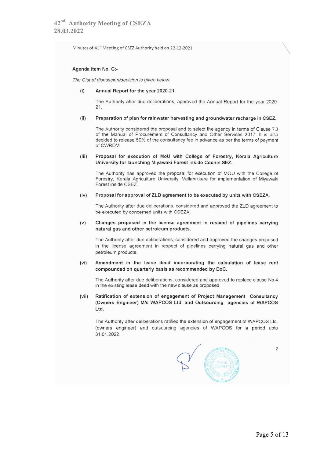Minutes of 41<sup>st</sup> Meeting of CSEZ Authority held on 22-12-2021

### Agenda item No. C:-

The Gist of discussion/decision is given below:

#### $(i)$ Annual Report for the year 2020-21.

The Authority after due deliberations, approved the Annual Report for the year 2020- $21.$ 

#### $(iii)$ Preparation of plan for rainwater harvesting and groundwater recharge in CSEZ.

The Authority considered the proposal and to select the agency in terms of Clause 7.3 of the Manual of Procurement of Consultancy and Other Services 2017. It is also decided to release 50% of the consultancy fee in advance as per the terms of payment of CWRDM.

#### $(iii)$ Proposal for execution of MoU with College of Forestry, Kerala Agriculture University for launching Miyawaki Forest inside Cochin SEZ.

The Authority has approved the proposal for execution of MOU with the College of Forestry, Kerala Agriculture University, Vellanikkara for implementation of Mivawaki Forest inside CSEZ.

#### $(iv)$ Proposal for approval of ZLD agreement to be executed by units with CSEZA.

The Authority after due deliberations, considered and approved the ZLD agreement to be executed by concerned units with CSEZA.

#### $(v)$ Changes proposed in the license agreement in respect of pipelines carrying natural gas and other petroleum products.

The Authority after due deliberations, considered and approved the changes proposed in the license agreement in respect of pipelines carrying natural gas and other petroleum products.

#### $(vi)$ Amendment in the lease deed incorporating the calculation of lease rent compounded on quarterly basis as recommended by DoC.

The Authority after due deliberations, considered and approved to replace clause No.4 in the existing lease deed with the new clause as proposed.

### Ratification of extension of engagement of Project Management Consultancy  $(vii)$ (Owners Engineer) M/s WAPCOS Ltd. and Outsourcing agencies of WAPCOS Ltd.

The Authority after deliberations ratified the extension of engagement of WAPCOS Ltd. (owners engineer) and outsourcing agencies of WAPCOS for a period upto 31.01.2022.

 $\overline{2}$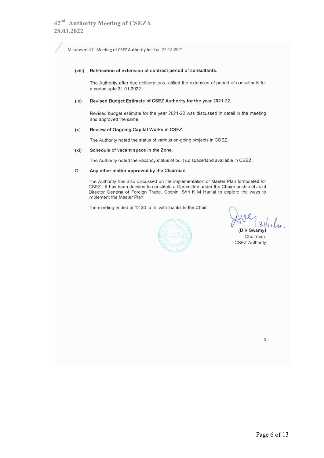Minutes of 41<sup>st</sup> Meeting of CSEZ Authority held on 22-12-2021

### (viii) Ratification of extension of contract period of consultants.

The Authority after due deliberations ratified the extension of period of consultants for a period upto 31.01.2022.

#### $(ix)$ Revised Budget Estimate of CSEZ Authority for the year 2021-22.

Revised budget estimate for the year 2021-22 was discussed in detail in the meeting and approved the same.

#### $(x)$ Review of Ongoing Capital Works in CSEZ.

The Authority noted the status of various on-going projects in CSEZ.

#### $(x<sub>i</sub>)$ Schedule of vacant space in the Zone.

The Authority noted the vacancy status of built up space/land available in CSEZ.

#### D. Any other matter approved by the Chairman.

The Authority has also discussed on the implementation of Master Plan formulated for CSEZ. It has been decided to constitute a Committee under the Chairmanship of Joint Director General of Foreign Trade, Cochin, Shri K M, Harilal to explore the ways to implement the Master Plan.

The meeting ended at 12.30 p.m. with thanks to the Chair.



 $3111$ D V Swamy)

Chairman. **CSEZ Authority** 

 $\overline{3}$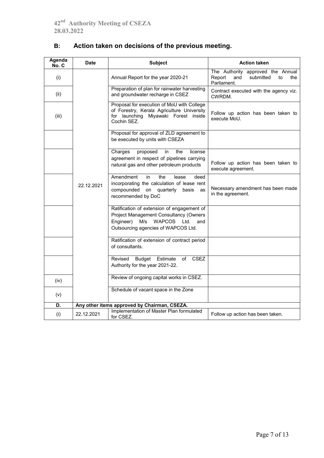| Agenda<br>No. C | <b>Date</b> | <b>Subject</b>                                                                                                                                                                  | <b>Action taken</b>                                                                         |
|-----------------|-------------|---------------------------------------------------------------------------------------------------------------------------------------------------------------------------------|---------------------------------------------------------------------------------------------|
| (i)             |             | Annual Report for the year 2020-21                                                                                                                                              | The Authority approved the Annual<br>submitted<br>Report<br>and<br>to<br>the<br>Parliament. |
| (ii)            |             | Preparation of plan for rainwater harvesting<br>and groundwater recharge in CSEZ                                                                                                | Contract executed with the agency viz.<br>CWRDM.                                            |
| (iii)           |             | Proposal for execution of MoU with College<br>of Forestry, Kerala Agriculture University<br>for launching Miyawaki Forest inside<br>Cochin SEZ.                                 | Follow up action has been taken to<br>execute MoU.                                          |
|                 |             | Proposal for approval of ZLD agreement to<br>be executed by units with CSEZA                                                                                                    |                                                                                             |
|                 |             | Charges<br>proposed<br>in<br>the<br>license<br>agreement in respect of pipelines carrying<br>natural gas and other petroleum products                                           | Follow up action has been taken to<br>execute agreement.                                    |
|                 | 22.12.2021  | Amendment<br>in<br>the<br>lease<br>deed<br>incorporating the calculation of lease rent<br>on<br>quarterly<br>compounded<br>basis<br>as<br>recommended by DoC                    | Necessary amendment has been made<br>in the agreement.                                      |
|                 |             | Ratification of extension of engagement of<br>Project Management Consultancy (Owners<br>Engineer)<br>M/s<br><b>WAPCOS</b><br>Ltd.<br>and<br>Outsourcing agencies of WAPCOS Ltd. |                                                                                             |
|                 |             | Ratification of extension of contract period<br>of consultants.                                                                                                                 |                                                                                             |
|                 |             | <b>CSEZ</b><br>Revised<br>Budget Estimate<br>of<br>Authority for the year 2021-22.                                                                                              |                                                                                             |
| (iv)            |             | Review of ongoing capital works in CSEZ.                                                                                                                                        |                                                                                             |
| (v)             |             | Schedule of vacant space in the Zone                                                                                                                                            |                                                                                             |
| D.              |             | Any other items approved by Chairman, CSEZA.                                                                                                                                    |                                                                                             |
| (i)             | 22.12.2021  | Implementation of Master Plan formulated<br>for CSEZ.                                                                                                                           | Follow up action has been taken.                                                            |

# **B: Action taken on decisions of the previous meeting.**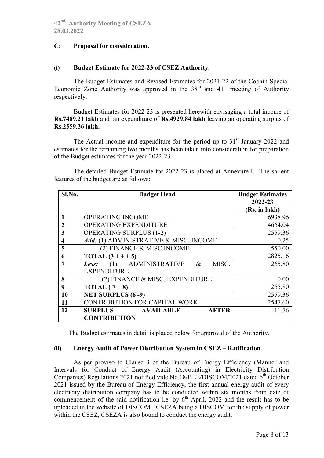### **C: Proposal for consideration.**

### **(i) Budget Estimate for 2022-23 of CSEZ Authority.**

The Budget Estimates and Revised Estimates for 2021-22 of the Cochin Special Economic Zone Authority was approved in the  $38<sup>th</sup>$  and  $41<sup>st</sup>$  meeting of Authority respectively.

Budget Estimates for 2022-23 is presented herewith envisaging a total income of **Rs.7489.21 lakh** and an expenditure of **Rs.4929.84 lakh** leaving an operating surplus of **Rs.2559.36 lakh.**

The Actual income and expenditure for the period up to  $31<sup>st</sup>$  January 2022 and estimates for the remaining two months has been taken into consideration for preparation of the Budget estimates for the year 2022-23.

The detailed Budget Estimate for 2022-23 is placed at Annexure-I. The salient features of the budget are as follows:

| Sl.No.                  | <b>Budget Head</b>                                     | <b>Budget Estimates</b><br>2022-23 |
|-------------------------|--------------------------------------------------------|------------------------------------|
|                         |                                                        | (Rs. in lakh)                      |
|                         | OPERATING INCOME                                       | 6938.96                            |
| 2                       | <b>OPERATING EXPENDITURE</b>                           | 4664.04                            |
| $\overline{\mathbf{3}}$ | <b>OPERATING SURPLUS (1-2)</b>                         | 2559.36                            |
| $\overline{\mathbf{4}}$ | Add: (1) ADMINISTRATIVE & MISC. INCOME                 | 0.25                               |
| 5                       | (2) FINANCE & MISC.INCOME                              | 550.00                             |
| 6                       | <b>TOTAL</b> $(3 + 4 + 5)$                             | 2825.16                            |
| 7                       | <b>ADMINISTRATIVE</b><br>$\&$<br>MISC.<br>(1)<br>Less: | 265.80                             |
|                         | <b>EXPENDITURE</b>                                     |                                    |
| 8                       | (2) FINANCE & MISC. EXPENDITURE                        | 0.00                               |
| 9                       | TOTAL $(7+8)$                                          | 265.80                             |
| 10                      | <b>NET SURPLUS (6 -9)</b>                              | 2559.36                            |
| 11                      | <b>CONTRIBUTION FOR CAPITAL WORK</b>                   | 2547.60                            |
| 12                      | <b>AFTER</b><br><b>SURPLUS</b><br><b>AVAILABLE</b>     | 11.76                              |
|                         | <b>CONTRIBUTION</b>                                    |                                    |

The Budget estimates in detail is placed below for approval of the Authority.

### **(ii) Energy Audit of Power Distribution System in CSEZ – Ratification**

As per proviso to Clause 3 of the Bureau of Energy Efficiency (Manner and Intervals for Conduct of Energy Audit (Accounting) in Electricity Distribution Companies) Regulations 2021 notified vide No.18/BEE/DISCOM/2021 dated  $6<sup>th</sup>$  October 2021 issued by the Bureau of Energy Efficiency, the first annual energy audit of every electricity distribution company has to be conducted within six months from date of commencement of the said notification i.e. by  $6<sup>th</sup>$  April, 2022 and the result has to be uploaded in the website of DISCOM. CSEZA being a DISCOM for the supply of power within the CSEZ, CSEZA is also bound to conduct the energy audit.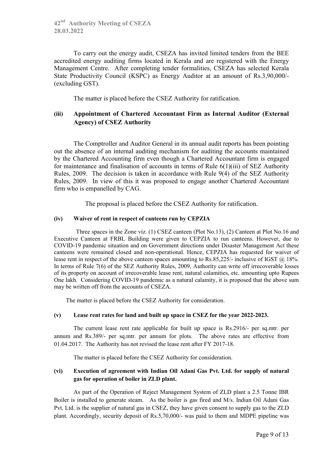To carry out the energy audit, CSEZA has invited limited tenders from the BEE accredited energy auditing firms located in Kerala and are registered with the Energy Management Centre. After completing tender formalities, CSEZA has selected Kerala State Productivity Council (KSPC) as Energy Auditor at an amount of Rs.3,90,000/- (excluding GST).

The matter is placed before the CSEZ Authority for ratification.

# **(iii) Appointment of Chartered Accountant Firm as Internal Auditor (External Agency) of CSEZ Authority**

The Comptroller and Auditor General in its annual audit reports has been pointing out the absence of an internal auditing mechanism for auditing the accounts maintained by the Chartered Accounting firm even though a Chartered Accountant firm is engaged for maintenance and finalisation of accounts in terms of Rule 6(1)(iii) of SEZ Authority Rules, 2009. The decision is taken in accordance with Rule 9(4) of the SEZ Authority Rules, 2009. In view of this it was proposed to engage another Chartered Accountant firm who is empanelled by CAG.

The proposal is placed before the CSEZ Authority for ratification.

### **(iv) Waiver of rent in respect of canteens run by CEPZIA**

Three spaces in the Zone viz. (1) CSEZ canteen (Plot No.13), (2) Canteen at Plot No.16 and Executive Canteen at FRBL Building were given to CEPZIA to run canteens. However, due to COVID-19 pandemic situation and on Government directions under Disaster Management Act these canteens were remained closed and non-operational. Hence, CEPZIA has requested for waiver of lease rent in respect of the above canteen spaces amounting to Rs.85.225/- inclusive of IGST @ 18%. In terms of Rule 7(6) of the SEZ Authority Rules, 2009, Authority can write off irrecoverable losses of its property on account of irrecoverable lease rent, natural calamities, etc. amounting upto Rupees One lakh. Considering COVID-19 pandemic as a natural calamity, it is proposed that the above sum may be written off from the accounts of CSEZA.

The matter is placed before the CSEZ Authority for consideration.

### **(v) Lease rent rates for land and built up space in CSEZ for the year 2022-2023.**

The current lease rent rate applicable for built up space is Rs.2916/- per sq.mtr. per annum and Rs.389/- per sq.mtr. per annum for plots. The above rates are effective from 01.04.2017. The Authority has not revised the lease rent after FY 2017-18.

The matter is placed before the CSEZ Authority for consideration.

### **(vi) Execution of agreement with Indian Oil Adani Gas Pvt. Ltd. for supply of natural gas for operation of boiler in ZLD plant.**

As part of the Operation of Reject Management System of ZLD plant a 2.5 Tonne IBR Boiler is installed to generate steam. As the boiler is gas fired and M/s. Indian Oil Adani Gas Pvt. Ltd. is the supplier of natural gas in CSEZ, they have given consent to supply gas to the ZLD plant. Accordingly, security deposit of Rs.5,70,000/- was paid to them and MDPE pipeline was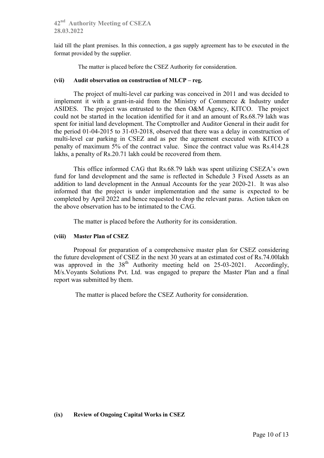**42nd Authority Meeting of CSEZA 28.03.2022**

laid till the plant premises. In this connection, a gas supply agreement has to be executed in the format provided by the supplier.

The matter is placed before the CSEZ Authority for consideration.

### **(vii) Audit observation on construction of MLCP – reg.**

The project of multi-level car parking was conceived in 2011 and was decided to implement it with a grant-in-aid from the Ministry of Commerce & Industry under ASIDES. The project was entrusted to the then O&M Agency, KITCO. The project could not be started in the location identified for it and an amount of Rs.68.79 lakh was spent for initial land development. The Comptroller and Auditor General in their audit for the period 01-04-2015 to 31-03-2018, observed that there was a delay in construction of multi-level car parking in CSEZ and as per the agreement executed with KITCO a penalty of maximum 5% of the contract value. Since the contract value was Rs.414.28 lakhs, a penalty of Rs.20.71 lakh could be recovered from them.

This office informed CAG that Rs.68.79 lakh was spent utilizing CSEZA's own fund for land development and the same is reflected in Schedule 3 Fixed Assets as an addition to land development in the Annual Accounts for the year 2020-21. It was also informed that the project is under implementation and the same is expected to be completed by April 2022 and hence requested to drop the relevant paras. Action taken on the above observation has to be intimated to the CAG.

The matter is placed before the Authority for its consideration.

### **(viii) Master Plan of CSEZ**

Proposal for preparation of a comprehensive master plan for CSEZ considering the future development of CSEZ in the next 30 years at an estimated cost of Rs.74.00lakh was approved in the 38<sup>th</sup> Authority meeting held on 25-03-2021. Accordingly, M/s.Voyants Solutions Pvt. Ltd. was engaged to prepare the Master Plan and a final report was submitted by them.

The matter is placed before the CSEZ Authority for consideration.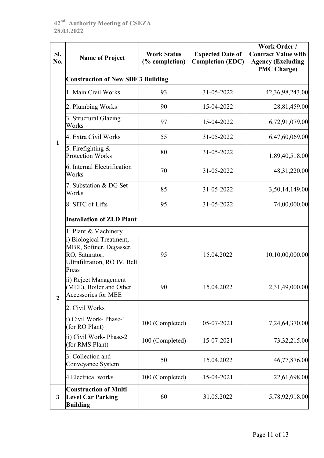| SI.<br>No.     | <b>Name of Project</b>                                                               | <b>Work Status</b><br>(% completion) | <b>Expected Date of</b><br><b>Completion (EDC)</b> | Work Order /<br><b>Contract Value with</b><br><b>Agency (Excluding</b><br><b>PMC Charge)</b> |
|----------------|--------------------------------------------------------------------------------------|--------------------------------------|----------------------------------------------------|----------------------------------------------------------------------------------------------|
|                | <b>Construction of New SDF 3 Building</b>                                            |                                      |                                                    |                                                                                              |
|                | 1. Main Civil Works                                                                  | 93                                   | 31-05-2022                                         | 42,36,98,243.00                                                                              |
|                | 2. Plumbing Works                                                                    | 90                                   | 15-04-2022                                         | 28,81,459.00                                                                                 |
|                | 3. Structural Glazing<br>Works                                                       | 97                                   | 15-04-2022                                         | 6,72,91,079.00                                                                               |
| $\mathbf{1}$   | 4. Extra Civil Works                                                                 | 55                                   | 31-05-2022                                         | 6,47,60,069.00                                                                               |
|                | 5. Firefighting $\&$<br><b>Protection Works</b>                                      | 80                                   | 31-05-2022                                         | 1,89,40,518.00                                                                               |
|                | 6. Internal Electrification<br>Works                                                 | 70                                   | 31-05-2022                                         | 48, 31, 220.00                                                                               |
|                | 7. Substation & DG Set<br>Works                                                      | 85                                   | 31-05-2022                                         | 3,50,14,149.00                                                                               |
|                | 8. SITC of Lifts                                                                     | 95                                   | 31-05-2022                                         | 74,00,000.00                                                                                 |
|                | <b>Installation of ZLD Plant</b><br>1. Plant & Machinery<br>i) Biological Treatment, |                                      |                                                    |                                                                                              |
|                | MBR, Softner, Degasser,<br>RO, Saturator,<br>Ultrafiltration, RO IV, Belt<br>Press   | 95                                   | 15.04.2022                                         | 10,10,00,000.00                                                                              |
| $\overline{2}$ | ii) Reject Management<br>(MEE), Boiler and Other<br>Accessories for MEE              | 90                                   | 15.04.2022                                         | 2,31,49,000.00                                                                               |
|                | 2. Civil Works                                                                       |                                      |                                                    |                                                                                              |
|                | i) Civil Work-Phase-1<br>(for RO Plant)                                              | 100 (Completed)                      | 05-07-2021                                         | 7,24,64,370.00                                                                               |
|                | ii) Civil Work- Phase-2<br>(for RMS Plant)                                           | 100 (Completed)                      | 15-07-2021                                         | 73, 32, 215.00                                                                               |
|                | 3. Collection and<br>Conveyance System                                               | 50                                   | 15.04.2022                                         | 46,77,876.00                                                                                 |
|                | 4. Electrical works                                                                  | 100 (Completed)                      | 15-04-2021                                         | 22,61,698.00                                                                                 |
| $\mathbf{3}$   | <b>Construction of Multi</b><br><b>Level Car Parking</b><br><b>Building</b>          | 60                                   | 31.05.2022                                         | 5,78,92,918.00                                                                               |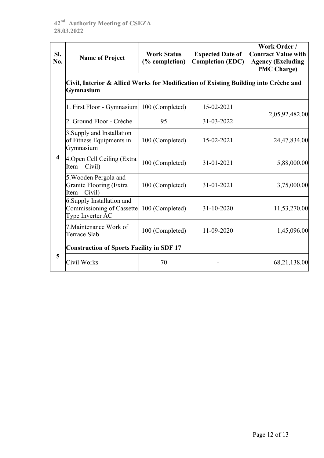| SI.<br>No.              | <b>Name of Project</b>                                                                            | <b>Work Status</b><br>(% completion) | <b>Expected Date of</b><br><b>Completion (EDC)</b> | Work Order /<br><b>Contract Value with</b><br><b>Agency (Excluding</b><br><b>PMC Charge)</b> |
|-------------------------|---------------------------------------------------------------------------------------------------|--------------------------------------|----------------------------------------------------|----------------------------------------------------------------------------------------------|
|                         | Civil, Interior & Allied Works for Modification of Existing Building into Crèche and<br>Gymnasium |                                      |                                                    |                                                                                              |
|                         | 1. First Floor - Gymnasium 100 (Completed)                                                        |                                      | 15-02-2021                                         | 2,05,92,482.00                                                                               |
|                         | 2. Ground Floor - Crèche                                                                          | 95                                   | 31-03-2022                                         |                                                                                              |
|                         | 3. Supply and Installation<br>of Fitness Equipments in<br>Gymnasium                               | 100 (Completed)                      | 15-02-2021                                         | 24,47,834.00                                                                                 |
| $\overline{\mathbf{4}}$ | 4. Open Cell Ceiling (Extra<br>Item - Civil)                                                      | 100 (Completed)                      | 31-01-2021                                         | 5,88,000.00                                                                                  |
|                         | 5. Wooden Pergola and<br>Granite Flooring (Extra<br>$Item - Civil)$                               | 100 (Completed)                      | 31-01-2021                                         | 3,75,000.00                                                                                  |
|                         | 6. Supply Installation and<br>Commissioning of Cassette<br>Type Inverter AC                       | 100 (Completed)                      | 31-10-2020                                         | 11,53,270.00                                                                                 |
|                         | 7. Maintenance Work of<br>Terrace Slab                                                            | 100 (Completed)                      | 11-09-2020                                         | 1,45,096.00                                                                                  |
|                         | <b>Construction of Sports Facility in SDF 17</b>                                                  |                                      |                                                    |                                                                                              |
| 5                       | Civil Works                                                                                       | 70                                   |                                                    | 68,21,138.00                                                                                 |